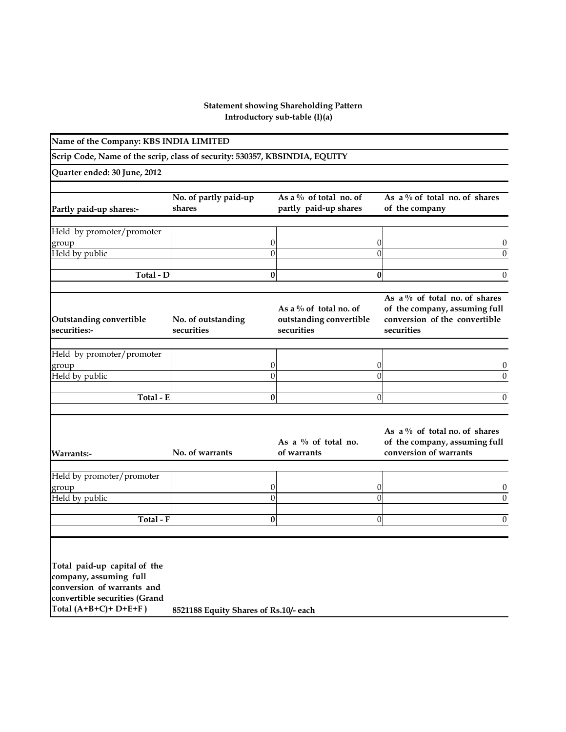## **Introductory sub-table (I)(a) Statement showing Shareholding Pattern**

| Name of the Company: KBS INDIA LIMITED                                                                                                           |                                       |                                                                    |                                                                                                               |
|--------------------------------------------------------------------------------------------------------------------------------------------------|---------------------------------------|--------------------------------------------------------------------|---------------------------------------------------------------------------------------------------------------|
| Scrip Code, Name of the scrip, class of security: 530357, KBSINDIA, EQUITY                                                                       |                                       |                                                                    |                                                                                                               |
| Quarter ended: 30 June, 2012                                                                                                                     |                                       |                                                                    |                                                                                                               |
| Partly paid-up shares:-                                                                                                                          | No. of partly paid-up<br>shares       | As a $\%$ of total no. of<br>partly paid-up shares                 | As a $\%$ of total no. of shares<br>of the company                                                            |
| Held by promoter/promoter<br>group                                                                                                               | 0                                     | 0                                                                  | 0                                                                                                             |
| Held by public                                                                                                                                   | $\theta$                              | $\Omega$                                                           | $\theta$                                                                                                      |
| Total - D                                                                                                                                        | $\bf{0}$                              | $\bf{0}$                                                           | $\theta$                                                                                                      |
| <b>Outstanding convertible</b><br>securities:-                                                                                                   | No. of outstanding<br>securities      | As a $\%$ of total no. of<br>outstanding convertible<br>securities | As a % of total no. of shares<br>of the company, assuming full<br>conversion of the convertible<br>securities |
| Held by promoter/promoter                                                                                                                        |                                       |                                                                    |                                                                                                               |
| group<br>Held by public                                                                                                                          | 0<br>$\theta$                         | 0<br>$\theta$                                                      | $\theta$<br>$\theta$                                                                                          |
|                                                                                                                                                  |                                       |                                                                    |                                                                                                               |
| Total - E                                                                                                                                        | $\bf{0}$                              | $\overline{0}$                                                     | $\theta$                                                                                                      |
| Warrants:-                                                                                                                                       | No. of warrants                       | As a $\%$ of total no.<br>of warrants                              | As a $\%$ of total no. of shares<br>of the company, assuming full<br>conversion of warrants                   |
| Held by promoter/promoter                                                                                                                        |                                       |                                                                    |                                                                                                               |
| group<br>Held by public                                                                                                                          | 0<br>$\boldsymbol{0}$                 | 0<br>$\Omega$                                                      | 0<br>$\overline{0}$                                                                                           |
|                                                                                                                                                  |                                       |                                                                    |                                                                                                               |
| Total - F                                                                                                                                        | $\bf{0}$                              | $\theta$                                                           | $\boldsymbol{0}$                                                                                              |
| Total paid-up capital of the<br>company, assuming full<br>conversion of warrants and<br>convertible securities (Grand<br>Total $(A+B+C)+D+E+F$ ) | 8521188 Equity Shares of Rs.10/- each |                                                                    |                                                                                                               |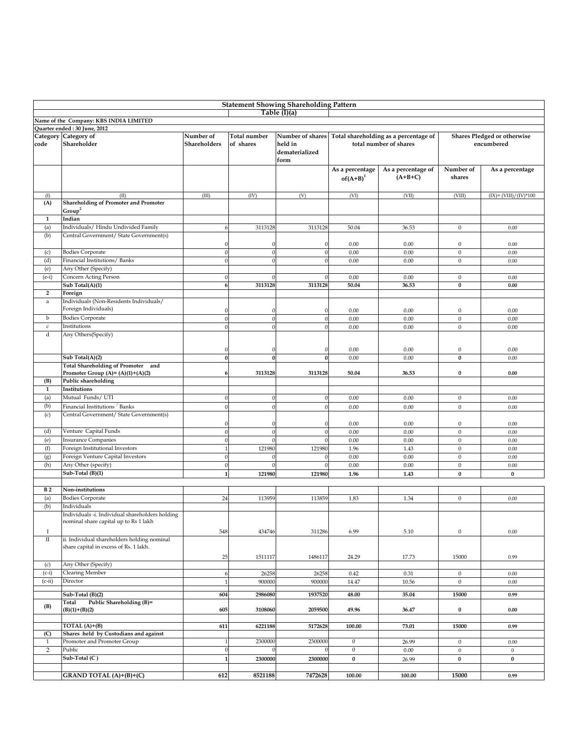| <b>Statement Showing Shareholding Pattern</b> |                                                 |                |                  |                  |                  |                                       |                  |                             |  |  |  |  |  |
|-----------------------------------------------|-------------------------------------------------|----------------|------------------|------------------|------------------|---------------------------------------|------------------|-----------------------------|--|--|--|--|--|
|                                               |                                                 |                |                  | Table (I)(a)     |                  |                                       |                  |                             |  |  |  |  |  |
|                                               | Name of the Company: KBS INDIA LIMITED          |                |                  |                  |                  |                                       |                  |                             |  |  |  |  |  |
|                                               | Quarter ended: 30 June, 2012                    |                |                  |                  |                  |                                       |                  |                             |  |  |  |  |  |
|                                               | Category Category of                            | Number of      | Total number     | Number of shares |                  | Total shareholding as a percentage of |                  | Shares Pledged or otherwise |  |  |  |  |  |
| code                                          | Shareholder                                     | Shareholders   | of shares        | held in          |                  | total number of shares                |                  | encumbered                  |  |  |  |  |  |
|                                               |                                                 |                |                  | dematerialized   |                  |                                       |                  |                             |  |  |  |  |  |
|                                               |                                                 |                |                  | form             |                  |                                       |                  |                             |  |  |  |  |  |
|                                               |                                                 |                |                  |                  | As a percentage  | As a percentage of                    | Number of        | As a percentage             |  |  |  |  |  |
|                                               |                                                 |                |                  |                  | $of(A+B)^1$      | $(A+B+C)$                             | shares           |                             |  |  |  |  |  |
|                                               |                                                 |                |                  |                  |                  |                                       |                  |                             |  |  |  |  |  |
| (I)                                           | (II)                                            | (III)          | (IV)             | (V)              | (VI)             | (VII)                                 | (VIII)           | $(IX) = (VIII)/(IV)*100$    |  |  |  |  |  |
| (A)                                           | <b>Shareholding of Promoter and Promoter</b>    |                |                  |                  |                  |                                       |                  |                             |  |  |  |  |  |
|                                               | Group <sup>2</sup>                              |                |                  |                  |                  |                                       |                  |                             |  |  |  |  |  |
| $\mathbf{1}$                                  | Indian                                          |                |                  |                  |                  |                                       |                  |                             |  |  |  |  |  |
| (a)                                           | Individuals/ Hindu Undivided Family             | 6              | 3113128          | 3113128          | 50.04            | 36.53                                 | $\mathbf{0}$     | 0.00                        |  |  |  |  |  |
| (b)                                           | Central Government/ State Government(s)         |                |                  |                  |                  |                                       |                  |                             |  |  |  |  |  |
|                                               |                                                 | $\Omega$       | 0                | ſ                | 0.00             | 0.00                                  | $\boldsymbol{0}$ | 0.00                        |  |  |  |  |  |
| (c)                                           | <b>Bodies Corporate</b>                         | $\theta$       | $\boldsymbol{0}$ | $\sqrt{ }$       |                  |                                       | $\mathbf{0}$     |                             |  |  |  |  |  |
|                                               | Financial Institutions/ Banks                   |                |                  |                  | 0.00             | 0.00                                  |                  | 0.00                        |  |  |  |  |  |
| (d)                                           |                                                 | $\theta$       | $\boldsymbol{0}$ | $\sqrt{ }$       | 0.00             | 0.00                                  | $\bf{0}$         | 0.00                        |  |  |  |  |  |
| (e)                                           | Any Other (Specify)                             |                |                  |                  |                  |                                       |                  |                             |  |  |  |  |  |
| $(e-i)$                                       | Concern Acting Person                           | $\Omega$       | $\Omega$         | $\sqrt{ }$       | 0.00             | 0.00                                  | $\mathbf{0}$     | 0.00                        |  |  |  |  |  |
|                                               | Sub Total(A)(1)                                 | 6              | 3113128          | 3113128          | 50.04            | 36.53                                 | $\bf{0}$         | 0.00                        |  |  |  |  |  |
| $\mathbf{2}$                                  | Foreign                                         |                |                  |                  |                  |                                       |                  |                             |  |  |  |  |  |
| $\rm{a}$                                      | Individuals (Non-Residents Individuals/         |                |                  |                  |                  |                                       |                  |                             |  |  |  |  |  |
|                                               | Foreign Individuals)                            | $\Omega$       |                  |                  | 0.00             | 0.00                                  | $\boldsymbol{0}$ | 0.00                        |  |  |  |  |  |
| b                                             | <b>Bodies Corporate</b>                         | $\Omega$       | $\boldsymbol{0}$ | $\sqrt{2}$       | 0.00             | 0.00                                  | $\mathbf{0}$     | 0.00                        |  |  |  |  |  |
| $\mathsf{c}$                                  | Institutions                                    | $\Omega$       | $\theta$         |                  | 0.00             | 0.00                                  | $\mathbf{0}$     | 0.00                        |  |  |  |  |  |
| d                                             | Any Others(Specify)                             |                |                  |                  |                  |                                       |                  |                             |  |  |  |  |  |
|                                               |                                                 |                |                  |                  |                  |                                       |                  |                             |  |  |  |  |  |
|                                               |                                                 | $\Omega$       | $\Omega$         | $\sqrt{ }$       | 0.00             | 0.00                                  | $\boldsymbol{0}$ | 0.00                        |  |  |  |  |  |
|                                               | Sub Total(A)(2)                                 | $\bf{0}$       | $\bf{0}$         | $\mathbf{0}$     | 0.00             | 0.00                                  | $\bf{0}$         | 0.00                        |  |  |  |  |  |
|                                               | Total Shareholding of Promoter and              |                |                  |                  |                  |                                       |                  |                             |  |  |  |  |  |
|                                               | Promoter Group (A)= $(A)(1)+(A)(2)$             | 6              | 3113128          | 3113128          | 50.04            | 36.53                                 | 0                | 0.00                        |  |  |  |  |  |
| (B)                                           | Public shareholding                             |                |                  |                  |                  |                                       |                  |                             |  |  |  |  |  |
| $\mathbf{1}$                                  | Institutions                                    |                |                  |                  |                  |                                       |                  |                             |  |  |  |  |  |
| (a)                                           | Mutual Funds/ UTI                               | $\theta$       | $\boldsymbol{0}$ | $\sqrt{ }$       | 0.00             | 0.00                                  | $\boldsymbol{0}$ | 0.00                        |  |  |  |  |  |
| (b)                                           | Financial Institutions / Banks                  | $\Omega$       | $\boldsymbol{0}$ | $\sqrt{ }$       | 0.00             | 0.00                                  | $\mathbf{0}$     | 0.00                        |  |  |  |  |  |
| (c)                                           | Central Government/ State Government(s)         |                |                  |                  |                  |                                       |                  |                             |  |  |  |  |  |
|                                               |                                                 | $\Omega$       | $\theta$         | $\sqrt{ }$       | 0.00             | 0.00                                  | $\mathbf{0}$     | 0.00                        |  |  |  |  |  |
| (d)                                           | Venture Capital Funds                           | $\Omega$       |                  | $\sqrt{ }$       | 0.00             | 0.00                                  | $\mathbf{0}$     | 0.00                        |  |  |  |  |  |
| (e)                                           | <b>Insurance Companies</b>                      | $\theta$       | $\theta$         |                  | 0.00             | 0.00                                  | $\mathbf{0}$     | 0.00                        |  |  |  |  |  |
| (f)                                           | Foreign Institutional Investors                 | $\overline{1}$ | 121980           | 121980           | 1.96             | 1.43                                  | $\mathbf{0}$     | 0.00                        |  |  |  |  |  |
| (g)                                           | Foreign Venture Capital Investors               | $\Omega$       |                  |                  | 0.00             | 0.00                                  | $\mathbf{0}$     | 0.00                        |  |  |  |  |  |
| (h)                                           | Any Other (specify)                             | $\Omega$       |                  |                  | 0.00             | 0.00                                  | $\mathbf{0}$     | 0.00                        |  |  |  |  |  |
|                                               | Sub-Total (B)(1)                                | $\mathbf{1}$   | 121980           | 121980           | 1.96             | 1.43                                  | $\bf{0}$         | $\bf{0}$                    |  |  |  |  |  |
|                                               |                                                 |                |                  |                  |                  |                                       |                  |                             |  |  |  |  |  |
| B <sub>2</sub>                                |                                                 |                |                  |                  |                  |                                       |                  |                             |  |  |  |  |  |
|                                               | Non-institutions                                |                |                  |                  |                  |                                       |                  |                             |  |  |  |  |  |
| (a)                                           | <b>Bodies Corporate</b>                         | 24             | 113959           | 113859           | 1.83             | 1.34                                  | $\mathbf{0}$     | 0.00                        |  |  |  |  |  |
| (b)                                           | Individuals                                     |                |                  |                  |                  |                                       |                  |                             |  |  |  |  |  |
|                                               | Individuals -i. Individual shareholders holding |                |                  |                  |                  |                                       |                  |                             |  |  |  |  |  |
|                                               | nominal share capital up to Rs 1 lakh           |                |                  |                  |                  |                                       |                  |                             |  |  |  |  |  |
| -1                                            |                                                 | 548            | 434746           | 311286           | 6.99             | 5.10                                  | $\mathbf{0}$     | 0.00                        |  |  |  |  |  |
| $\overline{\mathbf{u}}$                       | ii. Individual shareholders holding nominal     |                |                  |                  |                  |                                       |                  |                             |  |  |  |  |  |
|                                               | share capital in excess of Rs. 1 lakh.          |                |                  |                  |                  |                                       |                  |                             |  |  |  |  |  |
|                                               |                                                 | 25             | 1511117          | 1486117          | 24.29            | 17.73                                 | 15000            | 0.99                        |  |  |  |  |  |
| (c)                                           | Any Other (Specify)                             |                |                  |                  |                  |                                       |                  |                             |  |  |  |  |  |
| $(c-i)$                                       | <b>Clearing Member</b>                          | 6              | 26258            | 26258            | 0.42             | 0.31                                  | $\mathbf{0}$     | 0.00                        |  |  |  |  |  |
| $(c-ii)$                                      | Director                                        | $\mathbf{1}$   | 900000           | 900000           | 14.47            | 10.56                                 | $\mathbf{0}$     | 0.00                        |  |  |  |  |  |
|                                               |                                                 |                |                  |                  |                  |                                       |                  |                             |  |  |  |  |  |
|                                               | Sub-Total (B)(2)                                | 604            | 2986080          | 1937520          | 48.00            | 35.04                                 | 15000            | 0.99                        |  |  |  |  |  |
| (B)                                           | Public Shareholding (B)=<br>Total               |                |                  |                  |                  |                                       |                  |                             |  |  |  |  |  |
|                                               | $(B)(1)+(B)(2)$                                 | 605            | 3108060          | 2059500          | 49.96            | 36.47                                 | 0                | 0.00                        |  |  |  |  |  |
|                                               |                                                 |                |                  |                  |                  |                                       |                  |                             |  |  |  |  |  |
|                                               | TOTAL $(A)+(B)$                                 | 611            | 6221188          | 5172628          | 100.00           | 73.01                                 | 15000            | 0.99                        |  |  |  |  |  |
| (C)                                           | Shares held by Custodians and against           |                |                  |                  |                  |                                       |                  |                             |  |  |  |  |  |
| 1                                             | Promoter and Promoter Group                     | $\mathbf{1}$   | 2300000          | 2300000          | $\mathbf{0}$     | 26.99                                 | $\boldsymbol{0}$ | 0.00                        |  |  |  |  |  |
| $\overline{2}$                                | Public                                          | $\mathbf{0}$   | $\bf{0}$         |                  | $\boldsymbol{0}$ | 0.00                                  | $\boldsymbol{0}$ | $\boldsymbol{0}$            |  |  |  |  |  |
|                                               | Sub-Total (C)                                   | $\mathbf{1}$   | 2300000          | 2300000          | $\bf{0}$         | 26.99                                 | $\pmb{0}$        | $\bf{0}$                    |  |  |  |  |  |
|                                               |                                                 |                |                  |                  |                  |                                       |                  |                             |  |  |  |  |  |
|                                               | GRAND TOTAL (A)+(B)+(C)                         | 612            | 8521188          | 7472628          | 100.00           | 100.00                                | 15000            | 0.99                        |  |  |  |  |  |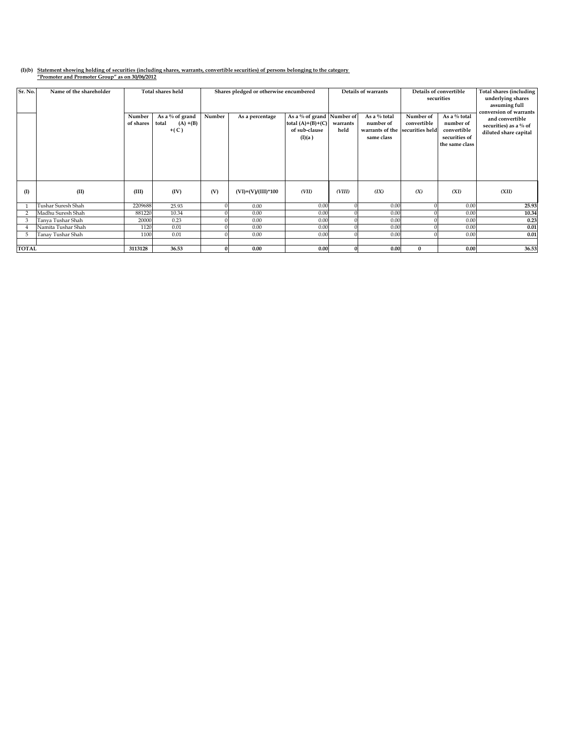## **(I)(b) Statement showing holding of securities (including shares, warrants, convertible securities) of persons belonging to the category "Promoter and Promoter Group" as on 30/06/2012**

| Sr. No.      | Name of the shareholder |                     | <b>Total shares held</b>                             | Shares pledged or otherwise encumbered |                      | Details of warrants                                                         |                  | Details of convertible<br>securities                       |                                             | Total shares (including<br>underlying shares<br>assuming full<br>conversion of warrants |                                                                   |
|--------------|-------------------------|---------------------|------------------------------------------------------|----------------------------------------|----------------------|-----------------------------------------------------------------------------|------------------|------------------------------------------------------------|---------------------------------------------|-----------------------------------------------------------------------------------------|-------------------------------------------------------------------|
|              |                         | Number<br>of shares | As a $\%$ of grand<br>total<br>$(A) + (B)$<br>$+(C)$ | Number                                 | As a percentage      | As a % of grand Number of<br>total $(A)+(B)+(C)$<br>of sub-clause<br>(I)(a) | warrants<br>held | As a % total<br>number of<br>warrants of the<br>same class | Number of<br>convertible<br>securities held | As a % total<br>number of<br>convertible<br>securities of<br>the same class             | and convertible<br>securities) as a % of<br>diluted share capital |
| $($ I        | (II)                    | (III)               | (IV)                                                 | (V)                                    | $(VI)=(V)/(III)*100$ | (VII)                                                                       | (VIII)           | (IX)                                                       | (X)                                         | (XI)                                                                                    | (XII)                                                             |
|              | Tushar Suresh Shah      | 2209688             | 25.93                                                |                                        | 0.00                 | 0.00                                                                        |                  | 0.00                                                       |                                             | 0.00                                                                                    | 25.93                                                             |
|              | Madhu Suresh Shah       | 881220              | 10.34                                                |                                        | 0.00                 | 0.00                                                                        |                  | 0.00                                                       |                                             | 0.00                                                                                    | 10.34                                                             |
| 3            | Tanya Tushar Shah       | 20000               | 0.23                                                 |                                        | 0.00                 | 0.00                                                                        |                  | 0.00                                                       |                                             | 0.00                                                                                    | 0.23                                                              |
|              | Namita Tushar Shah      | 1120                | 0.01                                                 |                                        | 0.00                 | 0.00                                                                        |                  | 0.00                                                       |                                             | 0.00                                                                                    | 0.01                                                              |
| 5            | Tanay Tushar Shah       | 1100                | 0.01                                                 |                                        | 0.00                 | 0.00                                                                        |                  | 0.00                                                       | $\Omega$                                    | 0.00                                                                                    | 0.01                                                              |
|              |                         |                     |                                                      |                                        |                      |                                                                             |                  |                                                            |                                             |                                                                                         |                                                                   |
| <b>TOTAL</b> |                         | 3113128             | 36.53                                                |                                        | 0.00                 | 0.00                                                                        |                  | 0.00                                                       | $\mathbf{0}$                                | 0.00                                                                                    | 36.53                                                             |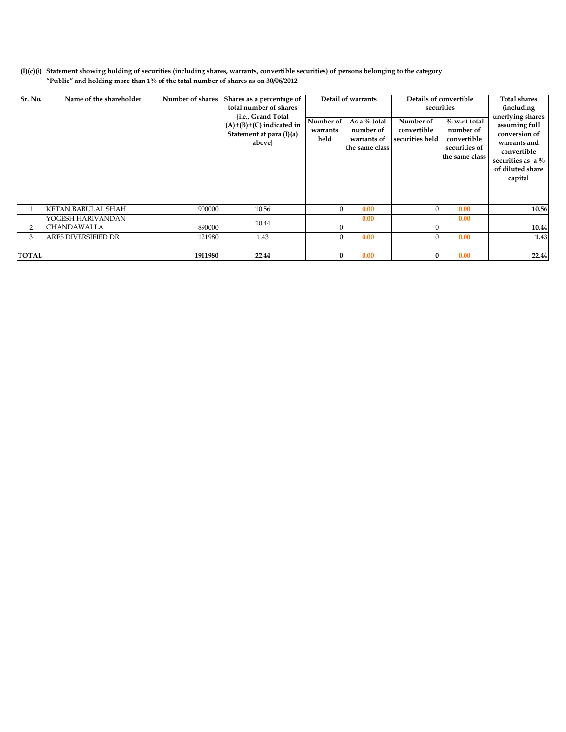## **(I)(c)(i) Statement showing holding of securities (including shares, warrants, convertible securities) of persons belonging to the category "Public" and holding more than 1% of the total number of shares as on 30/06/2012**

| Sr. No.      | Name of the shareholder    | Number of shares | Shares as a percentage of<br>total number of shares<br>{i.e., Grand Total<br>$(A)+(B)+(C)$ indicated in<br>Statement at para (I)(a) | Detail of warrants<br>As a $%$ total<br>Number of<br>number of<br>warrants |                               | Number of<br>convertible | Details of convertible<br>securities<br>$\%$ w.r.t total<br>number of | <b>Total shares</b><br><i>(including)</i><br>unerlying shares<br>assuming full<br>conversion of |
|--------------|----------------------------|------------------|-------------------------------------------------------------------------------------------------------------------------------------|----------------------------------------------------------------------------|-------------------------------|--------------------------|-----------------------------------------------------------------------|-------------------------------------------------------------------------------------------------|
|              |                            |                  | above}                                                                                                                              | held                                                                       | warrants of<br>the same class | securities held          | convertible<br>securities of<br>the same class                        | warrants and<br>convertible<br>securities as $a\%$<br>of diluted share<br>capital               |
|              | <b>KETAN BABULAL SHAH</b>  | 900000           | 10.56                                                                                                                               |                                                                            | 0.00                          |                          | 0.00                                                                  | 10.56                                                                                           |
|              | YOGESH HARIVANDAN          |                  | 10.44                                                                                                                               |                                                                            | 0.00                          |                          | 0.00                                                                  |                                                                                                 |
| 2            | <b>CHANDAWALLA</b>         | 890000           |                                                                                                                                     |                                                                            |                               |                          |                                                                       | 10.44                                                                                           |
| 3            | <b>ARES DIVERSIFIED DR</b> | 121980           | 1.43                                                                                                                                |                                                                            | 0.00                          |                          | 0.00                                                                  | 1.43                                                                                            |
|              |                            |                  |                                                                                                                                     |                                                                            |                               |                          |                                                                       |                                                                                                 |
| <b>TOTAL</b> |                            | 1911980          | 22.44                                                                                                                               |                                                                            | 0.00                          | $\Omega$                 | 0.00                                                                  | 22.44                                                                                           |